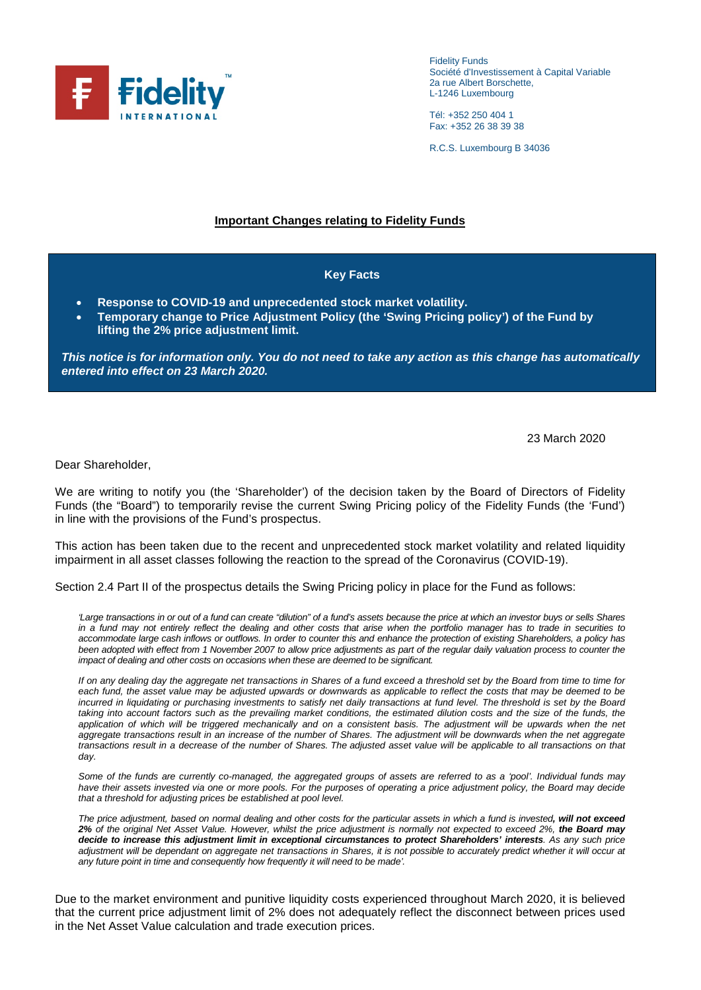

Fidelity Funds Société d'Investissement à Capital Variable 2a rue Albert Borschette, L-1246 Luxembourg

Tél: +352 250 404 1 Fax: +352 26 38 39 38

R.C.S. Luxembourg B 34036

## **Important Changes relating to Fidelity Funds**

## **Key Facts**

- **Response to COVID-19 and unprecedented stock market volatility.**
- **Temporary change to Price Adjustment Policy (the 'Swing Pricing policy') of the Fund by lifting the 2% price adjustment limit.**

*This notice is for information only. You do not need to take any action as this change has automatically entered into effect on 23 March 2020.*

23 March 2020

Dear Shareholder,

We are writing to notify you (the 'Shareholder') of the decision taken by the Board of Directors of Fidelity Funds (the "Board") to temporarily revise the current Swing Pricing policy of the Fidelity Funds (the 'Fund') in line with the provisions of the Fund's prospectus.

This action has been taken due to the recent and unprecedented stock market volatility and related liquidity impairment in all asset classes following the reaction to the spread of the Coronavirus (COVID-19).

Section 2.4 Part II of the prospectus details the Swing Pricing policy in place for the Fund as follows:

*'Large transactions in or out of a fund can create "dilution" of a fund's assets because the price at which an investor buys or sells Shares in a fund may not entirely reflect the dealing and other costs that arise when the portfolio manager has to trade in securities to accommodate large cash inflows or outflows. In order to counter this and enhance the protection of existing Shareholders, a policy has been adopted with effect from 1 November 2007 to allow price adjustments as part of the regular daily valuation process to counter the impact of dealing and other costs on occasions when these are deemed to be significant.*

*If on any dealing day the aggregate net transactions in Shares of a fund exceed a threshold set by the Board from time to time for each fund, the asset value may be adjusted upwards or downwards as applicable to reflect the costs that may be deemed to be*  incurred in liquidating or purchasing investments to satisfy net daily transactions at fund level. The threshold is set by the Board *taking into account factors such as the prevailing market conditions, the estimated dilution costs and the size of the funds, the*  application of which will be triggered mechanically and on a consistent basis. The adjustment will be upwards when the net aggregate transactions result in an increase of the number of Shares. The adjustment will be downwards when the net aggregate *transactions result in a decrease of the number of Shares. The adjusted asset value will be applicable to all transactions on that day.*

*Some of the funds are currently co-managed, the aggregated groups of assets are referred to as a 'pool'. Individual funds may*  have their assets invested via one or more pools. For the purposes of operating a price adjustment policy, the Board may decide *that a threshold for adjusting prices be established at pool level.*

*The price adjustment, based on normal dealing and other costs for the particular assets in which a fund is invested, will not exceed*  2% of the original Net Asset Value. However, whilst the price adjustment is normally not expected to exceed 2%, the Board may *decide to increase this adjustment limit in exceptional circumstances to protect Shareholders' interests. As any such price*  adjustment will be dependant on aggregate net transactions in Shares, it is not possible to accurately predict whether it will occur at *any future point in time and consequently how frequently it will need to be made'.*

Due to the market environment and punitive liquidity costs experienced throughout March 2020, it is believed that the current price adjustment limit of 2% does not adequately reflect the disconnect between prices used in the Net Asset Value calculation and trade execution prices.